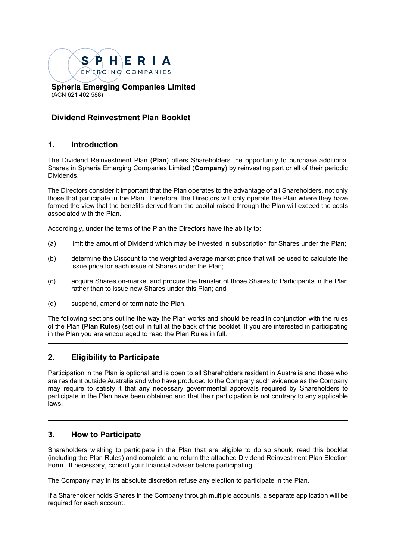

#### **Spheria Emerging Companies Limited**  (ACN 621 402 588)

## **Dividend Reinvestment Plan Booklet**

## **1. Introduction**

The Dividend Reinvestment Plan (**Plan**) offers Shareholders the opportunity to purchase additional Shares in Spheria Emerging Companies Limited (**Company**) by reinvesting part or all of their periodic Dividends.

The Directors consider it important that the Plan operates to the advantage of all Shareholders, not only those that participate in the Plan. Therefore, the Directors will only operate the Plan where they have formed the view that the benefits derived from the capital raised through the Plan will exceed the costs associated with the Plan.

Accordingly, under the terms of the Plan the Directors have the ability to:

- (a) limit the amount of Dividend which may be invested in subscription for Shares under the Plan;
- (b) determine the Discount to the weighted average market price that will be used to calculate the issue price for each issue of Shares under the Plan;
- (c) acquire Shares on-market and procure the transfer of those Shares to Participants in the Plan rather than to issue new Shares under this Plan; and
- (d) suspend, amend or terminate the Plan.

The following sections outline the way the Plan works and should be read in conjunction with the rules of the Plan **(Plan Rules)** (set out in full at the back of this booklet. If you are interested in participating in the Plan you are encouraged to read the Plan Rules in full.

## **2. Eligibility to Participate**

Participation in the Plan is optional and is open to all Shareholders resident in Australia and those who are resident outside Australia and who have produced to the Company such evidence as the Company may require to satisfy it that any necessary governmental approvals required by Shareholders to participate in the Plan have been obtained and that their participation is not contrary to any applicable laws.

### **3. How to Participate**

Shareholders wishing to participate in the Plan that are eligible to do so should read this booklet (including the Plan Rules) and complete and return the attached Dividend Reinvestment Plan Election Form. If necessary, consult your financial adviser before participating.

The Company may in its absolute discretion refuse any election to participate in the Plan.

If a Shareholder holds Shares in the Company through multiple accounts, a separate application will be required for each account.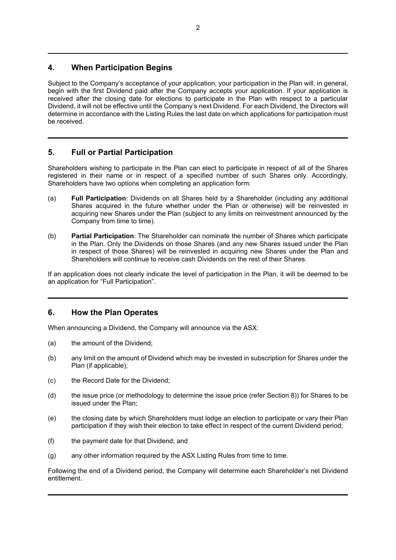## **4. When Participation Begins**

Subject to the Company's acceptance of your application, your participation in the Plan will, in general, begin with the first Dividend paid after the Company accepts your application. If your application is received after the closing date for elections to participate in the Plan with respect to a particular Dividend, it will not be effective until the Company's next Dividend. For each Dividend, the Directors will determine in accordance with the Listing Rules the last date on which applications for participation must be received.

## **5. Full or Partial Participation**

Shareholders wishing to participate in the Plan can elect to participate in respect of all of the Shares registered in their name or in respect of a specified number of such Shares only. Accordingly, Shareholders have two options when completing an application form:

- (a) **Full Participation**: Dividends on all Shares held by a Shareholder (including any additional Shares acquired in the future whether under the Plan or otherwise) will be reinvested in acquiring new Shares under the Plan (subject to any limits on reinvestment announced by the Company from time to time).
- (b) **Partial Participation**: The Shareholder can nominate the number of Shares which participate in the Plan. Only the Dividends on those Shares (and any new Shares issued under the Plan in respect of those Shares) will be reinvested in acquiring new Shares under the Plan and Shareholders will continue to receive cash Dividends on the rest of their Shares.

If an application does not clearly indicate the level of participation in the Plan, it will be deemed to be an application for "Full Participation".

#### **6. How the Plan Operates**

When announcing a Dividend, the Company will announce via the ASX:

- (a) the amount of the Dividend;
- (b) any limit on the amount of Dividend which may be invested in subscription for Shares under the Plan (if applicable);
- (c) the Record Date for the Dividend;
- (d) the issue price (or methodology to determine the issue price (refer Section 8)) for Shares to be issued under the Plan;
- (e) the closing date by which Shareholders must lodge an election to participate or vary their Plan participation if they wish their election to take effect in respect of the current Dividend period;
- (f) the payment date for that Dividend; and
- (g) any other information required by the ASX Listing Rules from time to time.

Following the end of a Dividend period, the Company will determine each Shareholder's net Dividend entitlement.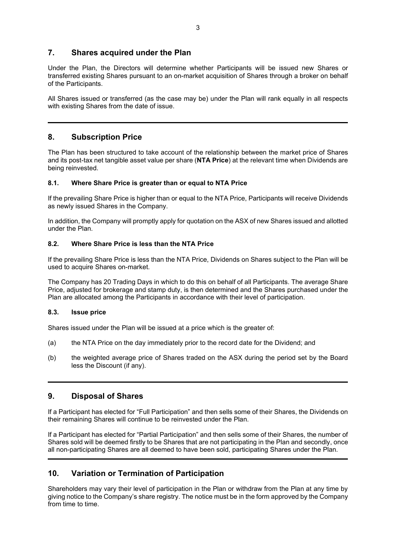## **7. Shares acquired under the Plan**

Under the Plan, the Directors will determine whether Participants will be issued new Shares or transferred existing Shares pursuant to an on-market acquisition of Shares through a broker on behalf of the Participants.

All Shares issued or transferred (as the case may be) under the Plan will rank equally in all respects with existing Shares from the date of issue.

## **8. Subscription Price**

The Plan has been structured to take account of the relationship between the market price of Shares and its post-tax net tangible asset value per share (**NTA Price**) at the relevant time when Dividends are being reinvested.

#### **8.1. Where Share Price is greater than or equal to NTA Price**

If the prevailing Share Price is higher than or equal to the NTA Price, Participants will receive Dividends as newly issued Shares in the Company.

In addition, the Company will promptly apply for quotation on the ASX of new Shares issued and allotted under the Plan.

#### **8.2. Where Share Price is less than the NTA Price**

If the prevailing Share Price is less than the NTA Price, Dividends on Shares subject to the Plan will be used to acquire Shares on-market.

The Company has 20 Trading Days in which to do this on behalf of all Participants. The average Share Price, adjusted for brokerage and stamp duty, is then determined and the Shares purchased under the Plan are allocated among the Participants in accordance with their level of participation.

#### **8.3. Issue price**

Shares issued under the Plan will be issued at a price which is the greater of:

- (a) the NTA Price on the day immediately prior to the record date for the Dividend; and
- (b) the weighted average price of Shares traded on the ASX during the period set by the Board less the Discount (if any).

#### **9. Disposal of Shares**

If a Participant has elected for "Full Participation" and then sells some of their Shares, the Dividends on their remaining Shares will continue to be reinvested under the Plan.

If a Participant has elected for "Partial Participation" and then sells some of their Shares, the number of Shares sold will be deemed firstly to be Shares that are not participating in the Plan and secondly, once all non-participating Shares are all deemed to have been sold, participating Shares under the Plan.

## **10. Variation or Termination of Participation**

Shareholders may vary their level of participation in the Plan or withdraw from the Plan at any time by giving notice to the Company's share registry. The notice must be in the form approved by the Company from time to time.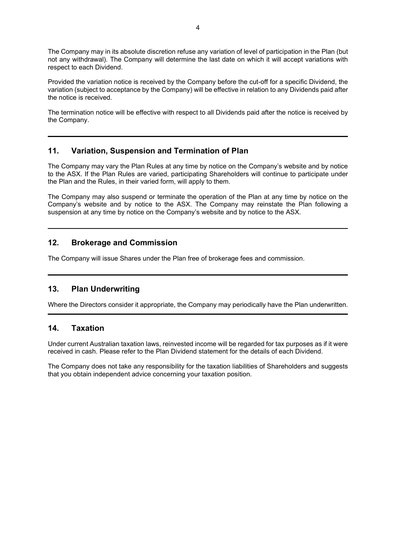The Company may in its absolute discretion refuse any variation of level of participation in the Plan (but not any withdrawal). The Company will determine the last date on which it will accept variations with respect to each Dividend.

Provided the variation notice is received by the Company before the cut-off for a specific Dividend, the variation (subject to acceptance by the Company) will be effective in relation to any Dividends paid after the notice is received.

The termination notice will be effective with respect to all Dividends paid after the notice is received by the Company.

## **11. Variation, Suspension and Termination of Plan**

The Company may vary the Plan Rules at any time by notice on the Company's website and by notice to the ASX. If the Plan Rules are varied, participating Shareholders will continue to participate under the Plan and the Rules, in their varied form, will apply to them.

The Company may also suspend or terminate the operation of the Plan at any time by notice on the Company's website and by notice to the ASX. The Company may reinstate the Plan following a suspension at any time by notice on the Company's website and by notice to the ASX.

## **12. Brokerage and Commission**

The Company will issue Shares under the Plan free of brokerage fees and commission.

#### **13. Plan Underwriting**

Where the Directors consider it appropriate, the Company may periodically have the Plan underwritten.

#### **14. Taxation**

Under current Australian taxation laws, reinvested income will be regarded for tax purposes as if it were received in cash. Please refer to the Plan Dividend statement for the details of each Dividend.

The Company does not take any responsibility for the taxation liabilities of Shareholders and suggests that you obtain independent advice concerning your taxation position.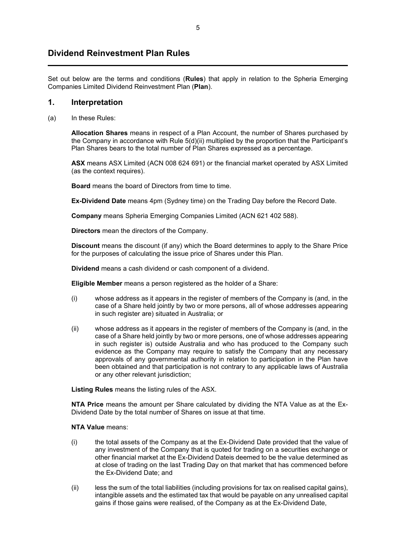# **Dividend Reinvestment Plan Rules**

Set out below are the terms and conditions (**Rules**) that apply in relation to the Spheria Emerging Companies Limited Dividend Reinvestment Plan (**Plan**).

#### **1. Interpretation**

(a) In these Rules:

**Allocation Shares** means in respect of a Plan Account, the number of Shares purchased by the Company in accordance with Rule [5\(d\)\(ii\)](#page-7-0) multiplied by the proportion that the Participant's Plan Shares bears to the total number of Plan Shares expressed as a percentage.

**ASX** means ASX Limited (ACN 008 624 691) or the financial market operated by ASX Limited (as the context requires).

**Board** means the board of Directors from time to time.

**Ex-Dividend Date** means 4pm (Sydney time) on the Trading Day before the Record Date.

**Company** means Spheria Emerging Companies Limited (ACN 621 402 588).

**Directors** mean the directors of the Company.

**Discount** means the discount (if any) which the Board determines to apply to the Share Price for the purposes of calculating the issue price of Shares under this Plan.

**Dividend** means a cash dividend or cash component of a dividend.

**Eligible Member** means a person registered as the holder of a Share:

- (i) whose address as it appears in the register of members of the Company is (and, in the case of a Share held jointly by two or more persons, all of whose addresses appearing in such register are) situated in Australia; or
- (ii) whose address as it appears in the register of members of the Company is (and, in the case of a Share held jointly by two or more persons, one of whose addresses appearing in such register is) outside Australia and who has produced to the Company such evidence as the Company may require to satisfy the Company that any necessary approvals of any governmental authority in relation to participation in the Plan have been obtained and that participation is not contrary to any applicable laws of Australia or any other relevant jurisdiction;

**Listing Rules** means the listing rules of the ASX.

**NTA Price** means the amount per Share calculated by dividing the NTA Value as at the Ex-Dividend Date by the total number of Shares on issue at that time.

#### **NTA Value** means:

- (i) the total assets of the Company as at the Ex-Dividend Date provided that the value of any investment of the Company that is quoted for trading on a securities exchange or other financial market at the Ex-Dividend Dateis deemed to be the value determined as at close of trading on the last Trading Day on that market that has commenced before the Ex-Dividend Date; and
- (ii) less the sum of the total liabilities (including provisions for tax on realised capital gains), intangible assets and the estimated tax that would be payable on any unrealised capital gains if those gains were realised, of the Company as at the Ex-Dividend Date,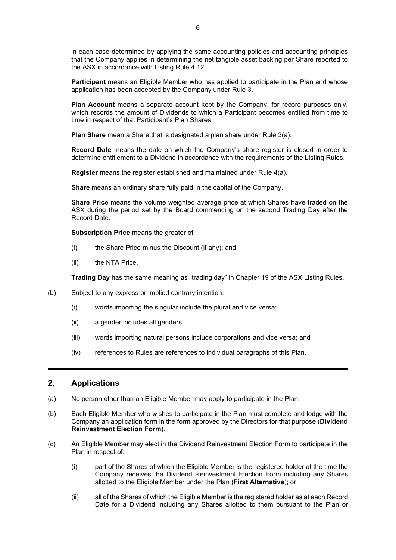in each case determined by applying the same accounting policies and accounting principles that the Company applies in determining the net tangible asset backing per Share reported to the ASX in accordance with Listing Rule 4.12.

**Participant** means an Eligible Member who has applied to participate in the Plan and whose application has been accepted by the Company under Rule [3.](#page-6-0)

**Plan Account** means a separate account kept by the Company, for record purposes only, which records the amount of Dividends to which a Participant becomes entitled from time to time in respect of that Participant's Plan Shares.

**Plan Share** mean a Share that is designated a plan share under Rule [3\(a\).](#page-6-1)

**Record Date** means the date on which the Company's share register is closed in order to determine entitlement to a Dividend in accordance with the requirements of the Listing Rules.

**Register** means the register established and maintained under Rule [4\(a\).](#page-6-2)

**Share** means an ordinary share fully paid in the capital of the Company.

**Share Price** means the volume weighted average price at which Shares have traded on the ASX during the period set by the Board commencing on the second Trading Day after the Record Date.

**Subscription Price** means the greater of:

- (i) the Share Price minus the Discount (if any); and
- (ii) the NTA Price.

**Trading Day** has the same meaning as "trading day" in Chapter 19 of the ASX Listing Rules.

- (b) Subject to any express or implied contrary intention:
	- (i) words importing the singular include the plural and vice versa;
	- (ii) a gender includes all genders;
	- (iii) words importing natural persons include corporations and vice versa; and
	- (iv) references to Rules are references to individual paragraphs of this Plan.

#### **2. Applications**

- (a) No person other than an Eligible Member may apply to participate in the Plan.
- (b) Each Eligible Member who wishes to participate in the Plan must complete and lodge with the Company an application form in the form approved by the Directors for that purpose (**Dividend Reinvestment Election Form**).
- (c) An Eligible Member may elect in the Dividend Reinvestment Election Form to participate in the Plan in respect of:
	- (i) part of the Shares of which the Eligible Member is the registered holder at the time the Company receives the Dividend Reinvestment Election Form including any Shares allotted to the Eligible Member under the Plan (**First Alternative**); or
	- (ii) all of the Shares of which the Eligible Member is the registered holder as at each Record Date for a Dividend including any Shares allotted to them pursuant to the Plan or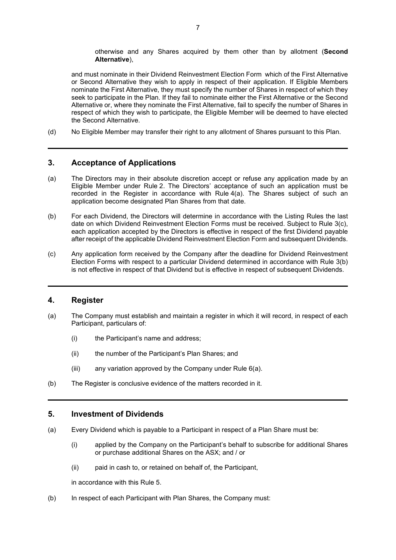otherwise and any Shares acquired by them other than by allotment (**Second Alternative**),

and must nominate in their Dividend Reinvestment Election Form which of the First Alternative or Second Alternative they wish to apply in respect of their application. If Eligible Members nominate the First Alternative, they must specify the number of Shares in respect of which they seek to participate in the Plan. If they fail to nominate either the First Alternative or the Second Alternative or, where they nominate the First Alternative, fail to specify the number of Shares in respect of which they wish to participate, the Eligible Member will be deemed to have elected the Second Alternative.

(d) No Eligible Member may transfer their right to any allotment of Shares pursuant to this Plan.

#### <span id="page-6-0"></span>**3. Acceptance of Applications**

- <span id="page-6-1"></span>(a) The Directors may in their absolute discretion accept or refuse any application made by an Eligible Member under Rule 2. The Directors' acceptance of such an application must be recorded in the Register in accordance with Rule 4(a). The Shares subject of such an application become designated Plan Shares from that date.
- (b) For each Dividend, the Directors will determine in accordance with the Listing Rules the last date on which Dividend Reinvestment Election Forms must be received. Subject to Rule 3(c), each application accepted by the Directors is effective in respect of the first Dividend payable after receipt of the applicable Dividend Reinvestment Election Form and subsequent Dividends.
- (c) Any application form received by the Company after the deadline for Dividend Reinvestment Election Forms with respect to a particular Dividend determined in accordance with Rule 3(b) is not effective in respect of that Dividend but is effective in respect of subsequent Dividends.

#### **4. Register**

- <span id="page-6-2"></span>(a) The Company must establish and maintain a register in which it will record, in respect of each Participant, particulars of:
	- (i) the Participant's name and address;
	- (ii) the number of the Participant's Plan Shares; and
	- (iii) any variation approved by the Company under Rule 6(a).
- (b) The Register is conclusive evidence of the matters recorded in it.

#### <span id="page-6-3"></span>**5. Investment of Dividends**

- (a) Every Dividend which is payable to a Participant in respect of a Plan Share must be:
	- (i) applied by the Company on the Participant's behalf to subscribe for additional Shares or purchase additional Shares on the ASX; and / or
	- (ii) paid in cash to, or retained on behalf of, the Participant,

in accordance with this Rule [5.](#page-6-3)

(b) In respect of each Participant with Plan Shares, the Company must: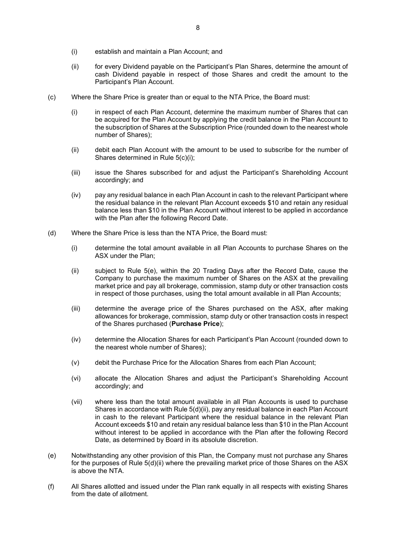- (i) establish and maintain a Plan Account; and
- (ii) for every Dividend payable on the Participant's Plan Shares, determine the amount of cash Dividend payable in respect of those Shares and credit the amount to the Participant's Plan Account.
- <span id="page-7-1"></span>(c) Where the Share Price is greater than or equal to the NTA Price, the Board must:
	- (i) in respect of each Plan Account, determine the maximum number of Shares that can be acquired for the Plan Account by applying the credit balance in the Plan Account to the subscription of Shares at the Subscription Price (rounded down to the nearest whole number of Shares);
	- (ii) debit each Plan Account with the amount to be used to subscribe for the number of Shares determined in Rule [5\(c\)\(i\);](#page-7-1)
	- (iii) issue the Shares subscribed for and adjust the Participant's Shareholding Account accordingly; and
	- (iv) pay any residual balance in each Plan Account in cash to the relevant Participant where the residual balance in the relevant Plan Account exceeds \$10 and retain any residual balance less than \$10 in the Plan Account without interest to be applied in accordance with the Plan after the following Record Date.
- <span id="page-7-0"></span>(d) Where the Share Price is less than the NTA Price, the Board must:
	- (i) determine the total amount available in all Plan Accounts to purchase Shares on the ASX under the Plan;
	- (ii) subject to Rule [5\(e\),](#page-7-2) within the 20 Trading Days after the Record Date, cause the Company to purchase the maximum number of Shares on the ASX at the prevailing market price and pay all brokerage, commission, stamp duty or other transaction costs in respect of those purchases, using the total amount available in all Plan Accounts;
	- (iii) determine the average price of the Shares purchased on the ASX, after making allowances for brokerage, commission, stamp duty or other transaction costs in respect of the Shares purchased (**Purchase Price**);
	- (iv) determine the Allocation Shares for each Participant's Plan Account (rounded down to the nearest whole number of Shares);
	- (v) debit the Purchase Price for the Allocation Shares from each Plan Account;
	- (vi) allocate the Allocation Shares and adjust the Participant's Shareholding Account accordingly; and
	- (vii) where less than the total amount available in all Plan Accounts is used to purchase Shares in accordance with Rule [5\(d\)\(ii\),](#page-7-0) pay any residual balance in each Plan Account in cash to the relevant Participant where the residual balance in the relevant Plan Account exceeds \$10 and retain any residual balance less than \$10 in the Plan Account without interest to be applied in accordance with the Plan after the following Record Date, as determined by Board in its absolute discretion.
- <span id="page-7-2"></span>(e) Notwithstanding any other provision of this Plan, the Company must not purchase any Shares for the purposes of Rule [5\(d\)\(ii\)](#page-7-0) where the prevailing market price of those Shares on the ASX is above the NTA.
- (f) All Shares allotted and issued under the Plan rank equally in all respects with existing Shares from the date of allotment.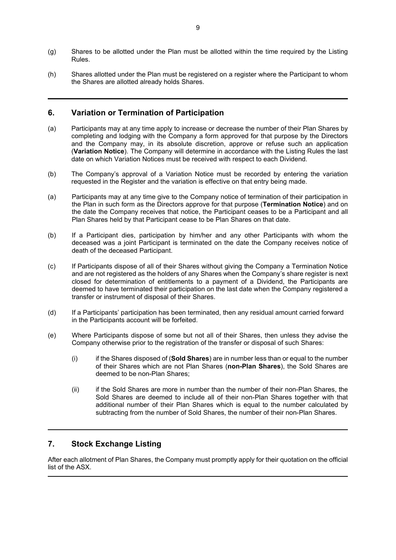- (g) Shares to be allotted under the Plan must be allotted within the time required by the Listing Rules.
- (h) Shares allotted under the Plan must be registered on a register where the Participant to whom the Shares are allotted already holds Shares.

### **6. Variation or Termination of Participation**

- (a) Participants may at any time apply to increase or decrease the number of their Plan Shares by completing and lodging with the Company a form approved for that purpose by the Directors and the Company may, in its absolute discretion, approve or refuse such an application (**Variation Notice**). The Company will determine in accordance with the Listing Rules the last date on which Variation Notices must be received with respect to each Dividend.
- (b) The Company's approval of a Variation Notice must be recorded by entering the variation requested in the Register and the variation is effective on that entry being made.
- (a) Participants may at any time give to the Company notice of termination of their participation in the Plan in such form as the Directors approve for that purpose (**Termination Notice**) and on the date the Company receives that notice, the Participant ceases to be a Participant and all Plan Shares held by that Participant cease to be Plan Shares on that date.
- (b) If a Participant dies, participation by him/her and any other Participants with whom the deceased was a joint Participant is terminated on the date the Company receives notice of death of the deceased Participant.
- (c) If Participants dispose of all of their Shares without giving the Company a Termination Notice and are not registered as the holders of any Shares when the Company's share register is next closed for determination of entitlements to a payment of a Dividend, the Participants are deemed to have terminated their participation on the last date when the Company registered a transfer or instrument of disposal of their Shares.
- (d) If a Participants' participation has been terminated, then any residual amount carried forward in the Participants account will be forfeited.
- (e) Where Participants dispose of some but not all of their Shares, then unless they advise the Company otherwise prior to the registration of the transfer or disposal of such Shares:
	- (i) if the Shares disposed of (**Sold Shares**) are in number less than or equal to the number of their Shares which are not Plan Shares (**non-Plan Shares**), the Sold Shares are deemed to be non-Plan Shares;
	- (ii) if the Sold Shares are more in number than the number of their non-Plan Shares, the Sold Shares are deemed to include all of their non-Plan Shares together with that additional number of their Plan Shares which is equal to the number calculated by subtracting from the number of Sold Shares, the number of their non-Plan Shares.

### **7. Stock Exchange Listing**

After each allotment of Plan Shares, the Company must promptly apply for their quotation on the official list of the ASX.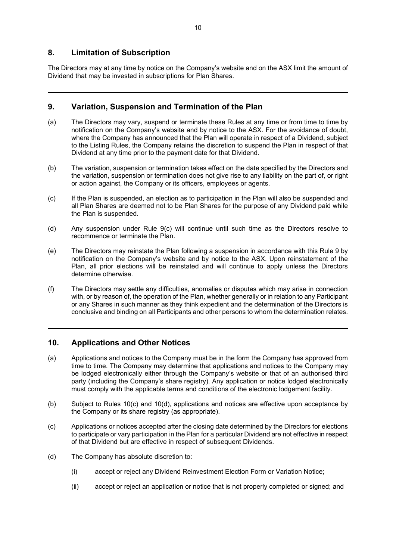## **8. Limitation of Subscription**

The Directors may at any time by notice on the Company's website and on the ASX limit the amount of Dividend that may be invested in subscriptions for Plan Shares.

### **9. Variation, Suspension and Termination of the Plan**

- (a) The Directors may vary, suspend or terminate these Rules at any time or from time to time by notification on the Company's website and by notice to the ASX. For the avoidance of doubt, where the Company has announced that the Plan will operate in respect of a Dividend, subject to the Listing Rules, the Company retains the discretion to suspend the Plan in respect of that Dividend at any time prior to the payment date for that Dividend.
- (b) The variation, suspension or termination takes effect on the date specified by the Directors and the variation, suspension or termination does not give rise to any liability on the part of, or right or action against, the Company or its officers, employees or agents.
- (c) If the Plan is suspended, an election as to participation in the Plan will also be suspended and all Plan Shares are deemed not to be Plan Shares for the purpose of any Dividend paid while the Plan is suspended.
- (d) Any suspension under Rule 9(c) will continue until such time as the Directors resolve to recommence or terminate the Plan.
- (e) The Directors may reinstate the Plan following a suspension in accordance with this Rule 9 by notification on the Company's website and by notice to the ASX. Upon reinstatement of the Plan, all prior elections will be reinstated and will continue to apply unless the Directors determine otherwise.
- (f) The Directors may settle any difficulties, anomalies or disputes which may arise in connection with, or by reason of, the operation of the Plan, whether generally or in relation to any Participant or any Shares in such manner as they think expedient and the determination of the Directors is conclusive and binding on all Participants and other persons to whom the determination relates.

#### **10. Applications and Other Notices**

- (a) Applications and notices to the Company must be in the form the Company has approved from time to time. The Company may determine that applications and notices to the Company may be lodged electronically either through the Company's website or that of an authorised third party (including the Company's share registry). Any application or notice lodged electronically must comply with the applicable terms and conditions of the electronic lodgement facility.
- (b) Subject to Rules 10(c) and 10(d), applications and notices are effective upon acceptance by the Company or its share registry (as appropriate).
- (c) Applications or notices accepted after the closing date determined by the Directors for elections to participate or vary participation in the Plan for a particular Dividend are not effective in respect of that Dividend but are effective in respect of subsequent Dividends.
- (d) The Company has absolute discretion to:
	- (i) accept or reject any Dividend Reinvestment Election Form or Variation Notice;
	- (ii) accept or reject an application or notice that is not properly completed or signed; and